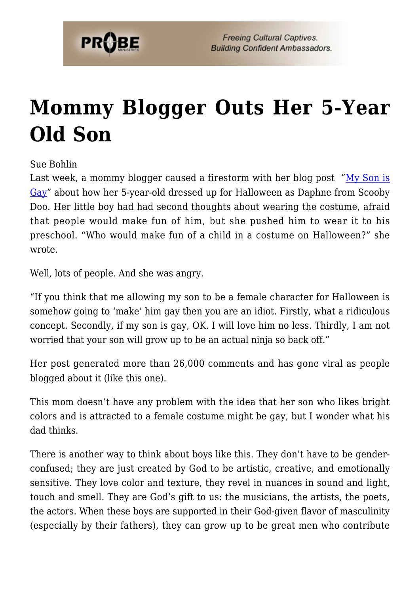

## **[Mommy Blogger Outs Her 5-Year](https://probe.org/mommy-blogger-outs-her-5-year-old-son/) [Old Son](https://probe.org/mommy-blogger-outs-her-5-year-old-son/)**

Sue Bohlin

Last week, a mommy blogger caused a firestorm with her blog post  $M_V$  Son is [Gay"](http://nerdyapplebottom.com/2010/11/02/my-son-is-gay/) about how her 5-year-old dressed up for Halloween as Daphne from Scooby Doo. Her little boy had had second thoughts about wearing the costume, afraid that people would make fun of him, but she pushed him to wear it to his preschool. "Who would make fun of a child in a costume on Halloween?" she wrote.

Well, lots of people. And she was angry.

"If you think that me allowing my son to be a female character for Halloween is somehow going to 'make' him gay then you are an idiot. Firstly, what a ridiculous concept. Secondly, if my son is gay, OK. I will love him no less. Thirdly, I am not worried that your son will grow up to be an actual ninja so back off."

Her post generated more than 26,000 comments and has gone viral as people blogged about it (like this one).

This mom doesn't have any problem with the idea that her son who likes bright colors and is attracted to a female costume might be gay, but I wonder what his dad thinks.

There is another way to think about boys like this. They don't have to be genderconfused; they are just created by God to be artistic, creative, and emotionally sensitive. They love color and texture, they revel in nuances in sound and light, touch and smell. They are God's gift to us: the musicians, the artists, the poets, the actors. When these boys are supported in their God-given flavor of masculinity (especially by their fathers), they can grow up to be great men who contribute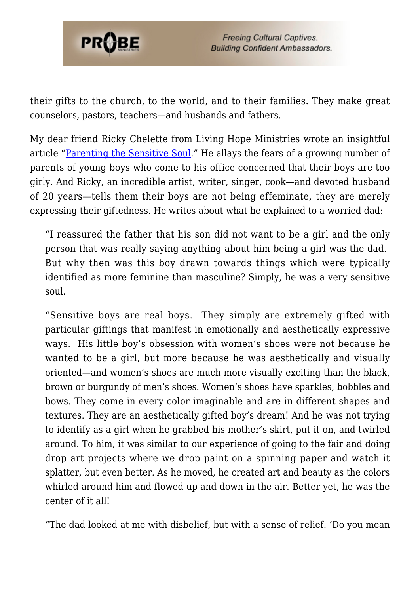

their gifts to the church, to the world, and to their families. They make great counselors, pastors, teachers—and husbands and fathers.

My dear friend Ricky Chelette from Living Hope Ministries wrote an insightful article "[Parenting the Sensitive Soul.](https://www.livehope.org/article/parenting-the-sensitive-soul/)" He allays the fears of a growing number of parents of young boys who come to his office concerned that their boys are too girly. And Ricky, an incredible artist, writer, singer, cook—and devoted husband of 20 years—tells them their boys are not being effeminate, they are merely expressing their giftedness. He writes about what he explained to a worried dad:

"I reassured the father that his son did not want to be a girl and the only person that was really saying anything about him being a girl was the dad. But why then was this boy drawn towards things which were typically identified as more feminine than masculine? Simply, he was a very sensitive soul.

"Sensitive boys are real boys. They simply are extremely gifted with particular giftings that manifest in emotionally and aesthetically expressive ways. His little boy's obsession with women's shoes were not because he wanted to be a girl, but more because he was aesthetically and visually oriented—and women's shoes are much more visually exciting than the black, brown or burgundy of men's shoes. Women's shoes have sparkles, bobbles and bows. They come in every color imaginable and are in different shapes and textures. They are an aesthetically gifted boy's dream! And he was not trying to identify as a girl when he grabbed his mother's skirt, put it on, and twirled around. To him, it was similar to our experience of going to the fair and doing drop art projects where we drop paint on a spinning paper and watch it splatter, but even better. As he moved, he created art and beauty as the colors whirled around him and flowed up and down in the air. Better yet, he was the center of it all!

"The dad looked at me with disbelief, but with a sense of relief. 'Do you mean